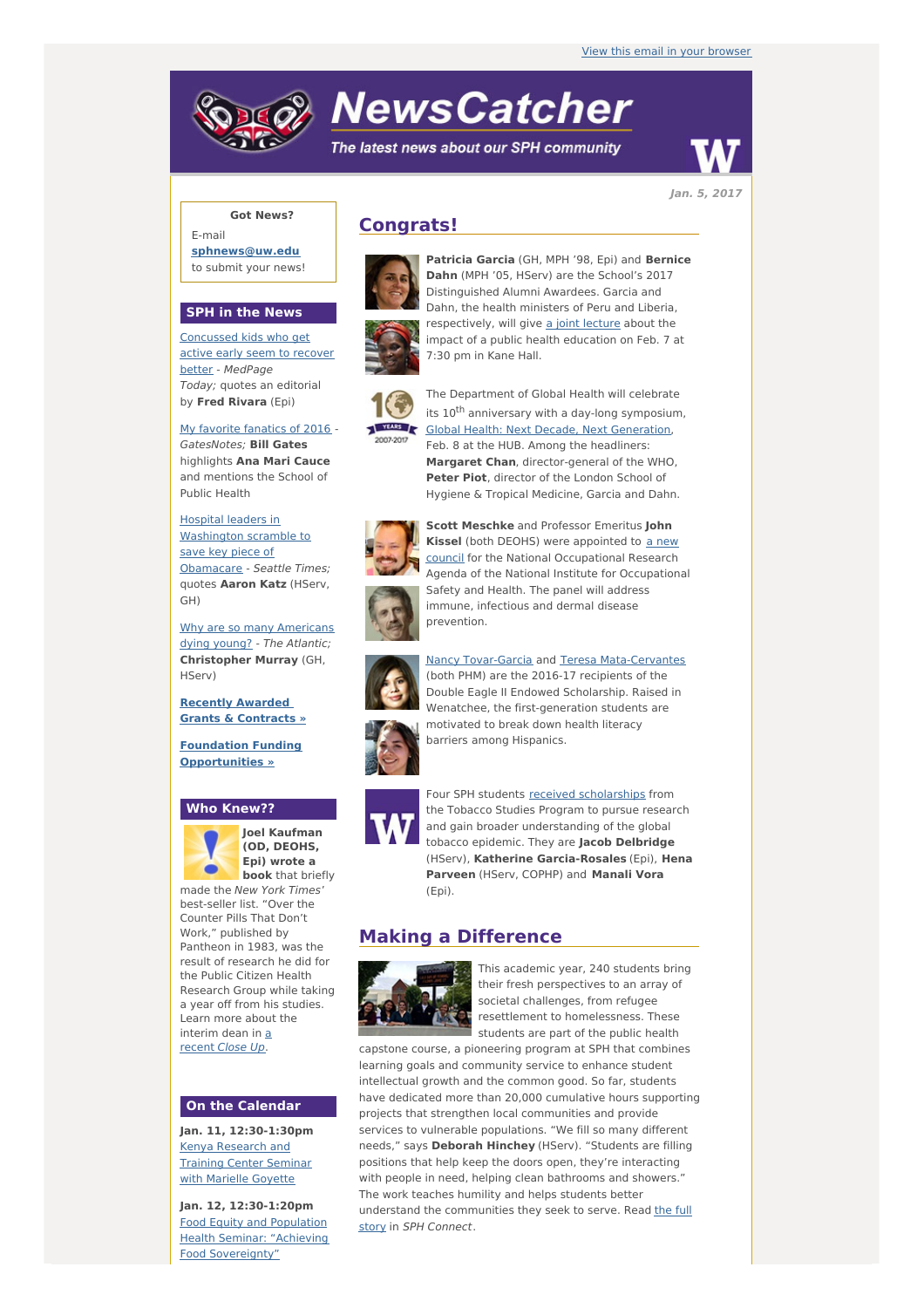# **NewsCatcher**

The latest news about our SPH community



**Jan. 5, 2017**

### **Got News?**

E-mail **[sphnews@uw.edu](mailto:sphnews@uw.edu)** to submit your news!

#### **SPH in the News**

[Concussed](http://engage.washington.edu/site/R?i=rtZDIT1FQhI1pu04i8Cd0Q) kids who get active early seem to recover better - MedPage Today; quotes an editorial by **Fred Rivara** (Epi)

My favorite [fanatics](http://engage.washington.edu/site/R?i=q0cgwn4t3oENQ6Mci1ZS1w) of 2016 - GatesNotes; **Bill Gates** highlights **Ana Mari Cauce** and mentions the School of Public Health

Hospital leaders in [Washington](http://engage.washington.edu/site/R?i=PHvT4bDWydxd4sovPL9FGQ) scramble to save key piece of Obamacare - Seattle Times; quotes **Aaron Katz** (HServ, GH)

Why are so many [Americans](http://engage.washington.edu/site/R?i=V6cfljIeBEF8_X7qCm7xYw) dying young? - The Atlantic; **Christopher Murray** (GH, HServ)

**Recently [Awarded](http://engage.washington.edu/site/R?i=L0Qj6ipFO-cYZBYB-3z3wQ) Grants & Contracts »**

**Foundation Funding [Opportunities](http://engage.washington.edu/site/R?i=z-_zU-bizeg7eglRHDzEpQ) »**

#### **Who Knew??**



**Joel Kaufman (OD, DEOHS, Epi) wrote a book** that briefly

made the New York Times' best-seller list. "Over the Counter Pills That Don't Work," published by Pantheon in 1983, was the result of research he did for the Public Citizen Health Research Group while taking a year off from his studies. Learn more about the [interim](http://engage.washington.edu/site/R?i=IVRefpUPcfh7JwWIXFmYFQ) dean in a recent Close Up.

#### **On the Calendar**

**Jan. 11, 12:30-1:30pm** Kenya [Research](http://engage.washington.edu/site/R?i=s2lu1n0xvUk-0OxGJVx6xw) and Training Center Seminar with Marielle Goyette

**Jan. 12, 12:30-1:20pm** Food Equity and Population Health Seminar: "Achieving Food [Sovereignty"](http://engage.washington.edu/site/R?i=eOyWmICOjutM65vz4T5O9w)

## **Congrats!**



**Dahn** (MPH '05, HServ) are the School's 2017 Distinguished Alumni Awardees. Garcia and Dahn, the health ministers of Peru and Liberia, respectively, will give a joint [lecture](http://engage.washington.edu/site/R?i=xsH9kEjvgoHIbuL_-G5vaQ) about the impact of a public health education on Feb. 7 at 7:30 pm in Kane Hall.

**Patricia Garcia** (GH, MPH '98, Epi) and **Bernice**



The Department of Global Health will celebrate its 10<sup>th</sup> anniversary with a day-long symposium, **BS Clobal Health: Next Decade, Next [Generation](http://engage.washington.edu/site/R?i=mAn0twXzDaiC1P9LKq3SEg)**, Feb. 8 at the HUB. Among the headliners: **Margaret Chan**, director-general of the WHO, **Peter Piot**, director of the London School of Hygiene & Tropical Medicine, Garcia and Dahn.



**Scott Meschke** and Professor Emeritus **John Kissel** (both DEOHS) were appointed to a new council for the National [Occupational](http://engage.washington.edu/site/R?i=rX5H99F8ecEUdJUdAc5n4A) Research Agenda of the National Institute for Occupational Safety and Health. The panel will address immune, infectious and dermal disease prevention.

Nancy [Tovar-Garcia](http://engage.washington.edu/site/R?i=2-a2SD_pxG7xUa1Vk78RnA) and Teresa [Mata-Cervantes](http://engage.washington.edu/site/R?i=zFIbX8hyQ1jMrhcw4zSrhw) (both PHM) are the 2016-17 recipients of the Double Eagle II Endowed Scholarship. Raised in Wenatchee, the first-generation students are motivated to break down health literacy barriers among Hispanics.



Four SPH students received [scholarships](http://engage.washington.edu/site/R?i=Yjev_dO-_zd2gJqIf-qLTA) from the Tobacco Studies Program to pursue research and gain broader understanding of the global tobacco epidemic. They are **Jacob Delbridge** (HServ), **Katherine Garcia-Rosales** (Epi), **Hena Parveen** (HServ, COPHP) and **Manali Vora** (Epi).

## **Making a Difference**



This academic year, 240 students bring their fresh perspectives to an array of societal challenges, from refugee resettlement to homelessness. These students are part of the public health

capstone course, a pioneering program at SPH that combines learning goals and community service to enhance student intellectual growth and the common good. So far, students have dedicated more than 20,000 cumulative hours supporting projects that strengthen local communities and provide services to vulnerable populations. "We fill so many different needs," says **Deborah Hinchey** (HServ). "Students are filling positions that help keep the doors open, they're interacting with people in need, helping clean bathrooms and showers." The work teaches humility and helps students better understand the [communities](http://engage.washington.edu/site/R?i=fp3QJHcoYzxF7HYdhJKRtg) they seek to serve. Read the full story in SPH Connect.